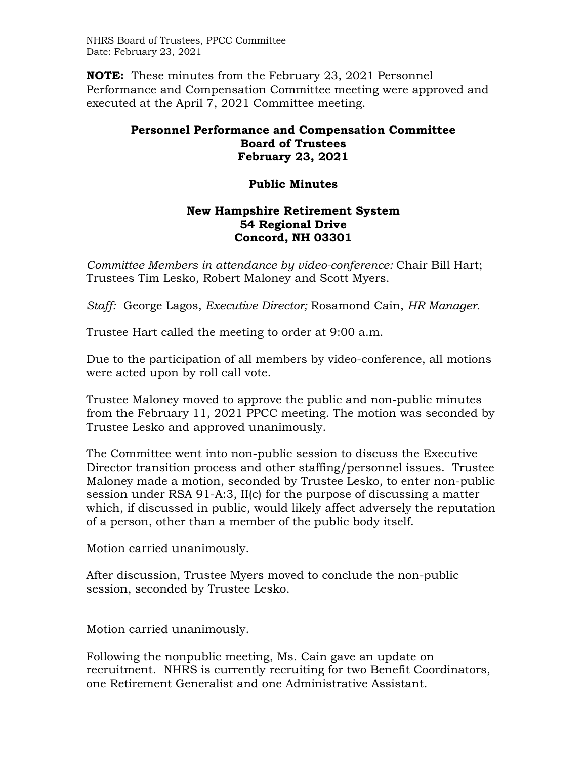NHRS Board of Trustees, PPCC Committee Date: February 23, 2021

**NOTE:** These minutes from the February 23, 2021 Personnel Performance and Compensation Committee meeting were approved and executed at the April 7, 2021 Committee meeting.

## **Personnel Performance and Compensation Committee Board of Trustees February 23, 2021**

## **Public Minutes**

## **New Hampshire Retirement System 54 Regional Drive Concord, NH 03301**

*Committee Members in attendance by video-conference:* Chair Bill Hart; Trustees Tim Lesko, Robert Maloney and Scott Myers.

*Staff:* George Lagos, *Executive Director;* Rosamond Cain, *HR Manager*.

Trustee Hart called the meeting to order at 9:00 a.m.

Due to the participation of all members by video-conference, all motions were acted upon by roll call vote.

Trustee Maloney moved to approve the public and non-public minutes from the February 11, 2021 PPCC meeting. The motion was seconded by Trustee Lesko and approved unanimously.

The Committee went into non-public session to discuss the Executive Director transition process and other staffing/personnel issues. Trustee Maloney made a motion, seconded by Trustee Lesko, to enter non-public session under RSA 91-A:3, II(c) for the purpose of discussing a matter which, if discussed in public, would likely affect adversely the reputation of a person, other than a member of the public body itself.

Motion carried unanimously.

After discussion, Trustee Myers moved to conclude the non-public session, seconded by Trustee Lesko.

Motion carried unanimously.

Following the nonpublic meeting, Ms. Cain gave an update on recruitment. NHRS is currently recruiting for two Benefit Coordinators, one Retirement Generalist and one Administrative Assistant.